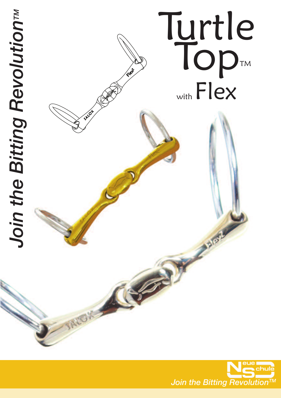

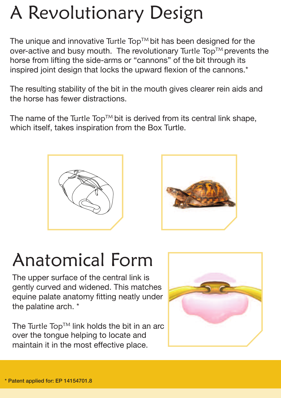# A Revolutionary Design

The unique and innovative Turtle Top<sup> $TM$ </sup> bit has been designed for the over-active and busy mouth. The revolutionary Turtle Top™ prevents the horse from lifting the side-arms or "cannons" of the bit through its inspired joint design that locks the upward flexion of the cannons.\*

The resulting stability of the bit in the mouth gives clearer rein aids and the horse has fewer distractions.

The name of the Turtle Top<sup>TM</sup> bit is derived from its central link shape. which itself, takes inspiration from the Box Turtle.





## Anatomical Form

The upper surface of the central link is gently curved and widened. This matches equine palate anatomy fitting neatly under the palatine arch. \*

The Turtle Top<sup>TM</sup> link holds the bit in an arc over the tongue helping to locate and maintain it in the most effective place.

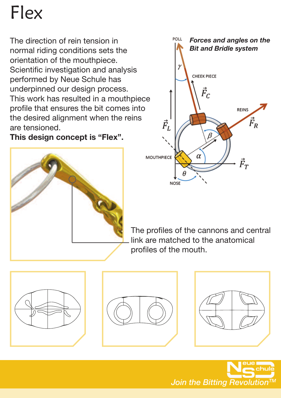## Flex

The direction of rein tension in normal riding conditions sets the orientation of the mouthpiece. Scientific investigation and analysis performed by Neue Schule has underpinned our design process. This work has resulted in a mouthpiece profile that ensures the bit comes into the desired alignment when the reins are tensioned.

**This design concept is "Flex".**





The profiles of the cannons and central link are matched to the anatomical profiles of the mouth.







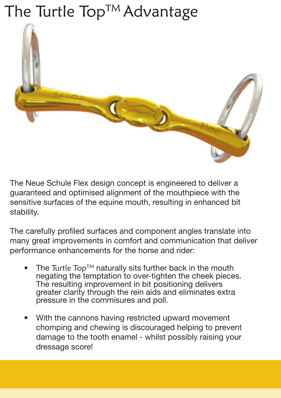### The Turtle Top<sup>™</sup> Advantage



The Neue Schule Flex design concept is engineered to deliver a guaranteed and optimised alignment of the mouthpiece with the sensitive surfaces of the equine mouth, resulting in enhanced bit stability.

The carefully profiled surfaces and component angles translate into many great improvements in comfort and communication that deliver performance enhancements for the horse and rider:

- The Turtle Top<sup>TM</sup> naturally sits further back in the mouth negating the temptation to over-tighten the cheek pieces. The resulting improvement in bit positioning delivers greater clarity through the rein aids and eliminates extra pressure in the commisures and poll.
- With the cannons having restricted upward movement chomping and chewing is discouraged helping to prevent damage to the tooth enamel - whilst possibly raising your dressage score!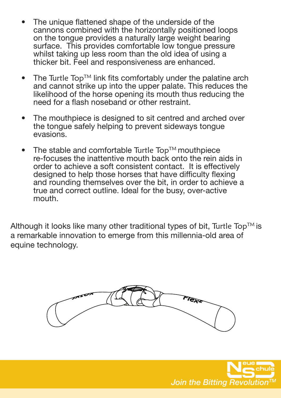- The unique flattened shape of the underside of the cannons combined with the horizontally positioned loops on the tongue provides a naturally large weight bearing surface. This provides comfortable low tongue pressure whilst taking up less room than the old idea of using a thicker bit. Feel and responsiveness are enhanced.
- The Turtle Top<sup>TM</sup> link fits comfortably under the palatine arch and cannot strike up into the upper palate. This reduces the likelihood of the horse opening its mouth thus reducing the need for a flash noseband or other restraint.
- The mouthpiece is designed to sit centred and arched over the tongue safely helping to prevent sideways tongue evasions.
- The stable and comfortable Turtle Top<sup>TM</sup> mouthpiece re-focuses the inattentive mouth back onto the rein aids in order to achieve a soft consistent contact. It is effectively designed to help those horses that have difficulty flexing and rounding themselves over the bit, in order to achieve a true and correct outline. Ideal for the busy, over-active mouth.

Although it looks like many other traditional types of bit, Turtle Top<sup>TM</sup> is a remarkable innovation to emerge from this millennia-old area of equine technology.



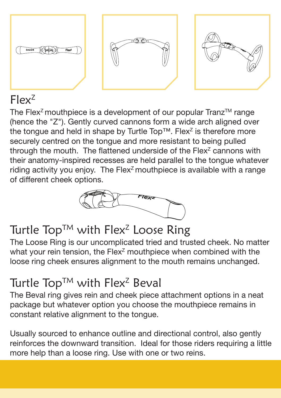

#### Flex<sup>Z</sup>

The Flex<sup>z</sup> mouthpiece is a development of our popular Tranz<sup>TM</sup> range (hence the "Z"). Gently curved cannons form a wide arch aligned over the tongue and held in shape by Turtle Top™. Flex<sup>z</sup> is therefore more securely centred on the tongue and more resistant to being pulled through the mouth. The flattened underside of the Flex<sup>z</sup> cannons with their anatomy-inspired recesses are held parallel to the tongue whatever riding activity you enjoy. The Flex<sup> $z$ </sup> mouthpiece is available with a range of different cheek options.



#### Turtle Top<sup>TM</sup> with Flex<sup>2</sup> Loose Ring

The Loose Ring is our uncomplicated tried and trusted cheek. No matter what your rein tension, the  $Flex^Z$  mouthpiece when combined with the loose ring cheek ensures alignment to the mouth remains unchanged.

#### Turtle Top<sup>TM</sup> with Flex<sup>2</sup> Beval

The Beval ring gives rein and cheek piece attachment options in a neat package but whatever option you choose the mouthpiece remains in constant relative alignment to the tongue.

Usually sourced to enhance outline and directional control, also gently reinforces the downward transition. Ideal for those riders requiring a little more help than a loose ring. Use with one or two reins.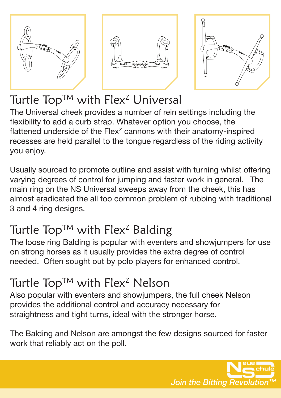





#### Turtle Top<sup>TM</sup> with Flex<sup>2</sup> Universal

The Universal cheek provides a number of rein settings including the flexibility to add a curb strap. Whatever option you choose, the flattened underside of the  $Flex^z$  cannons with their anatomy-inspired recesses are held parallel to the tongue regardless of the riding activity you enjoy.

Usually sourced to promote outline and assist with turning whilst offering varying degrees of control for jumping and faster work in general. The main ring on the NS Universal sweeps away from the cheek, this has almost eradicated the all too common problem of rubbing with traditional 3 and 4 ring designs.

#### Turtle Top<sup>TM</sup> with Flex<sup>2</sup> Balding

The loose ring Balding is popular with eventers and showjumpers for use on strong horses as it usually provides the extra degree of control needed. Often sought out by polo players for enhanced control.

#### Turtle Top<sup>TM</sup> with Flex<sup>2</sup> Nelson

Also popular with eventers and showjumpers, the full cheek Nelson provides the additional control and accuracy necessary for straightness and tight turns, ideal with the stronger horse.

The Balding and Nelson are amongst the few designs sourced for faster work that reliably act on the poll.